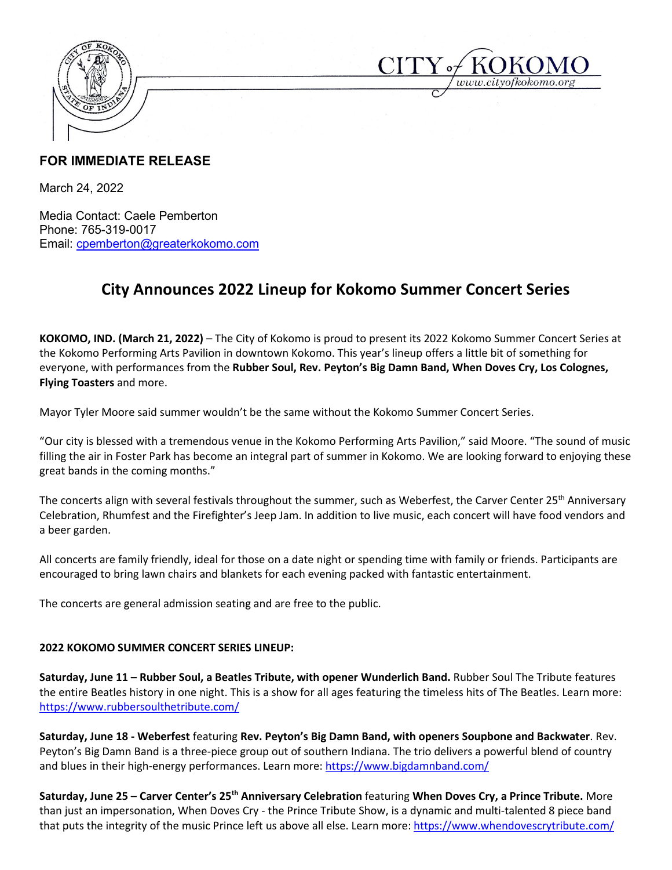



## **FOR IMMEDIATE RELEASE**

March 24, 2022

Media Contact: Caele Pemberton Phone: 765-319-0017 Email: [cpemberton@greaterkokomo.com](mailto:cpemberton@greaterkokomo.com)

## **City Announces 2022 Lineup for Kokomo Summer Concert Series**

**KOKOMO, IND. (March 21, 2022)** – The City of Kokomo is proud to present its 2022 Kokomo Summer Concert Series at the Kokomo Performing Arts Pavilion in downtown Kokomo. This year's lineup offers a little bit of something for everyone, with performances from the **Rubber Soul, Rev. Peyton's Big Damn Band, When Doves Cry, Los Colognes, Flying Toasters** and more.

Mayor Tyler Moore said summer wouldn't be the same without the Kokomo Summer Concert Series.

"Our city is blessed with a tremendous venue in the Kokomo Performing Arts Pavilion," said Moore. "The sound of music filling the air in Foster Park has become an integral part of summer in Kokomo. We are looking forward to enjoying these great bands in the coming months."

The concerts align with several festivals throughout the summer, such as Weberfest, the Carver Center 25<sup>th</sup> Anniversary Celebration, Rhumfest and the Firefighter's Jeep Jam. In addition to live music, each concert will have food vendors and a beer garden.

All concerts are family friendly, ideal for those on a date night or spending time with family or friends. Participants are encouraged to bring lawn chairs and blankets for each evening packed with fantastic entertainment.

The concerts are general admission seating and are free to the public.

## **2022 KOKOMO SUMMER CONCERT SERIES LINEUP:**

**Saturday, June 11 – Rubber Soul, a Beatles Tribute, with opener Wunderlich Band.** Rubber Soul The Tribute features the entire Beatles history in one night. This is a show for all ages featuring the timeless hits of The Beatles. Learn more: <https://www.rubbersoulthetribute.com/>

**Saturday, June 18 - Weberfest** featuring **Rev. Peyton's Big Damn Band, with openers Soupbone and Backwater**. Rev. Peyton's Big Damn Band is a three-piece group out of southern Indiana. The trio delivers a powerful blend of country and blues in their high-energy performances. Learn more[: https://www.bigdamnband.com/](https://www.bigdamnband.com/)

**Saturday, June 25 – Carver Center's 25th Anniversary Celebration** featuring **When Doves Cry, a Prince Tribute.** More than just an impersonation, When Doves Cry - the Prince Tribute Show, is a dynamic and multi-talented 8 piece band that puts the integrity of the music Prince left us above all else. Learn more:<https://www.whendovescrytribute.com/>